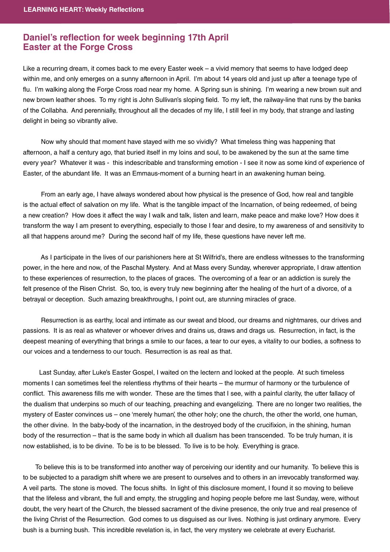## **Daniel's reflection for week beginning 17th April Easter at the Forge Cross Easter at the Forge Cross**

Like a recurring dream, it comes back to me every Easter week – a vivid memory that seems to have lodged deep within me, and only emerges on a sunny afternoon in April. I'm about 14 years old and just up after a teenage type of flu. I'm walking along the Forge Cross road near my home. A Spring sun is shining. I'm wearing a new brown suit and new brown leather shoes. To my right is John Sullivan's sloping field. To my left, the railway-line that runs by the banks of the Collabha. And perennially, throughout all the decades of my life, I still feel in my body, that strange and lasting delight in being so vibrantly alive.

 Now why should that moment have stayed with me so vividly? What timeless thing was happening that afternoon, a half a century ago, that buried itself in my loins and soul, to be awakened by the sun at the same time every year? Whatever it was - this indescribable and transforming emotion - I see it now as some kind of experience of Easter, of the abundant life. It was an Emmaus-moment of a burning heart in an awakening human being.

 From an early age, I have always wondered about how physical is the presence of God, how real and tangible is the actual effect of salvation on my life. What is the tangible impact of the Incarnation, of being redeemed, of being a new creation? How does it affect the way I walk and talk, listen and learn, make peace and make love? How does it transform the way I am present to everything, especially to those I fear and desire, to my awareness of and sensitivity to all that happens around me? During the second half of my life, these questions have never left me.

 As I participate in the lives of our parishioners here at St Wilfrid's, there are endless witnesses to the transforming power, in the here and now, of the Paschal Mystery. And at Mass every Sunday, wherever appropriate, I draw attention to these experiences of resurrection, to the places of graces. The overcoming of a fear or an addiction is surely the felt presence of the Risen Christ. So, too, is every truly new beginning after the healing of the hurt of a divorce, of a betrayal or deception. Such amazing breakthroughs, I point out, are stunning miracles of grace.

 Resurrection is as earthy, local and intimate as our sweat and blood, our dreams and nightmares, our drives and passions. It is as real as whatever or whoever drives and drains us, draws and drags us. Resurrection, in fact, is the deepest meaning of everything that brings a smile to our faces, a tear to our eyes, a vitality to our bodies, a softness to our voices and a tenderness to our touch. Resurrection is as real as that.

 Last Sunday, after Luke's Easter Gospel, I waited on the lectern and looked at the people. At such timeless moments I can sometimes feel the relentless rhythms of their hearts – the murmur of harmony or the turbulence of conflict. This awareness fills me with wonder. These are the times that I see, with a painful clarity, the utter fallacy of the dualism that underpins so much of our teaching, preaching and evangelizing. There are no longer two realities, the mystery of Easter convinces us – one 'merely human', the other holy; one the church, the other the world, one human, the other divine. In the baby-body of the incarnation, in the destroyed body of the crucifixion, in the shining, human body of the resurrection – that is the same body in which all dualism has been transcended. To be truly human, it is now established, is to be divine. To be is to be blessed. To live is to be holy. Everything is grace.

 To believe this is to be transformed into another way of perceiving our identity and our humanity. To believe this is to be subjected to a paradigm shift where we are present to ourselves and to others in an irrevocably transformed way. A veil parts. The stone is moved. The focus shifts. In light of this disclosure moment, I found it so moving to believe that the lifeless and vibrant, the full and empty, the struggling and hoping people before me last Sunday, were, without doubt, the very heart of the Church, the blessed sacrament of the divine presence, the only true and real presence of the living Christ of the Resurrection. God comes to us disguised as our lives. Nothing is just ordinary anymore. Every bush is a burning bush. This incredible revelation is, in fact, the very mystery we celebrate at every Eucharist.